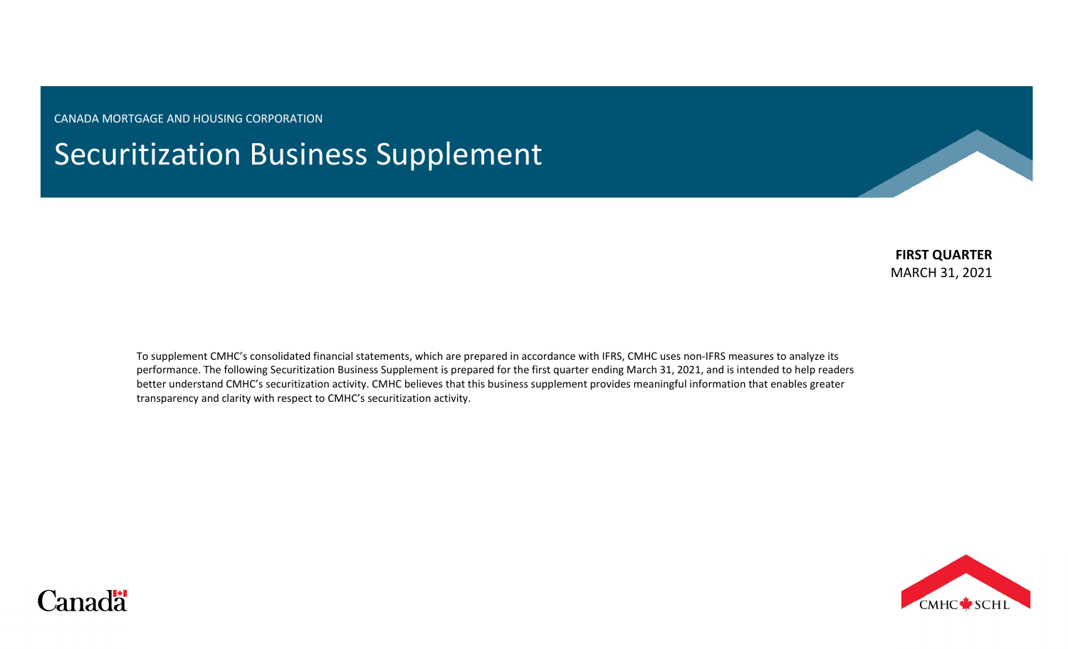CANADA MORTGAGE AND HOUSING CORPORATION

Securitization Business Supplement

**FIRST QUARTER** MARCH 31, 2021

To supplement CMHC's consolidated financial statements, which are prepared in accordance with IFRS, CMHC uses non-IFRS measures to analyze its performance. The following Securitization Business Supplement is prepared for the first quarter ending March 31, 2021, and is intended to help readers better understand CMHC's securitization activity. CMHC believes that this business supplement provides meaningful information that enables greater transparency and clarity with respect to CMHC's securitization activity.



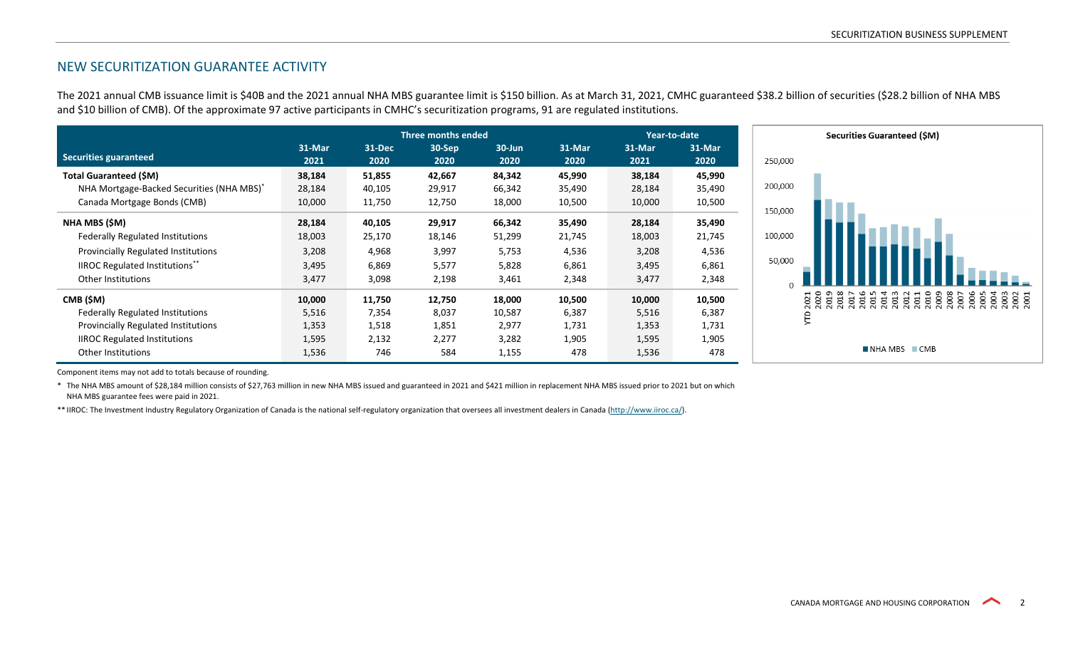# NEW SECURITIZATION GUARANTEE ACTIVITY

The 2021 annual CMB issuance limit is \$40B and the 2021 annual NHA MBS guarantee limit is \$150 billion. As at March 31, 2021, CMHC guaranteed \$38.2 billion of securities (\$28.2 billion of NHA MBS and \$10 billion of CMB). Of the approximate 97 active participants in CMHC's securitization programs, 91 are regulated institutions.

|                                                       | Three months ended |                |                |                    |                | Year-to-date   |                | Securities Guaranteed (\$M)               |  |  |
|-------------------------------------------------------|--------------------|----------------|----------------|--------------------|----------------|----------------|----------------|-------------------------------------------|--|--|
| Securities guaranteed                                 | 31-Mar<br>2021     | 31-Dec<br>2020 | 30-Sep<br>2020 | $30 - Jun$<br>2020 | 31-Mar<br>2020 | 31-Mar<br>2021 | 31-Mar<br>2020 | 250,000                                   |  |  |
| <b>Total Guaranteed (\$M)</b>                         | 38,184             | 51,855         | 42,667         | 84,342             | 45,990         | 38,184         | 45,990         |                                           |  |  |
| NHA Mortgage-Backed Securities (NHA MBS) <sup>*</sup> | 28,184             | 40,105         | 29,917         | 66,342             | 35,490         | 28,184         | 35,490         | 200,000                                   |  |  |
| Canada Mortgage Bonds (CMB)                           | 10,000             | 11,750         | 12,750         | 18,000             | 10,500         | 10,000         | 10,500         | 150,000                                   |  |  |
| NHA MBS (\$M)                                         | 28,184             | 40,105         | 29,917         | 66,342             | 35,490         | 28,184         | 35,490         |                                           |  |  |
| <b>Federally Regulated Institutions</b>               | 18,003             | 25,170         | 18,146         | 51,299             | 21,745         | 18,003         | 21,745         | 100,000                                   |  |  |
| <b>Provincially Regulated Institutions</b>            | 3,208              | 4,968          | 3,997          | 5,753              | 4,536          | 3,208          | 4,536          |                                           |  |  |
| <b>IIROC Regulated Institutions**</b>                 | 3,495              | 6,869          | 5,577          | 5,828              | 6,861          | 3,495          | 6,861          | 50,000                                    |  |  |
| Other Institutions                                    | 3,477              | 3,098          | 2,198          | 3,461              | 2,348          | 3,477          | 2,348          |                                           |  |  |
| CMB (\$M)                                             | 10,000             | 11,750         | 12,750         | 18,000             | 10,500         | 10,000         | 10,500         | ទី ទី<br><b>885</b><br>ä<br>8<br>Ξ<br>ಠ ಶ |  |  |
| <b>Federally Regulated Institutions</b>               | 5,516              | 7,354          | 8,037          | 10,587             | 6,387          | 5,516          | 6,387          | €                                         |  |  |
| <b>Provincially Regulated Institutions</b>            | 1,353              | 1,518          | 1,851          | 2,977              | 1,731          | 1,353          | 1,731          |                                           |  |  |
| <b>IIROC Regulated Institutions</b>                   | 1,595              | 2,132          | 2,277          | 3,282              | 1,905          | 1,595          | 1,905          |                                           |  |  |
| Other Institutions                                    | 1,536              | 746            | 584            | 1,155              | 478            | 1,536          | 478            | $\blacksquare$ NHA MBS $\blacksquare$ CMB |  |  |

Component items may not add to totals because of rounding.

\* The NHA MBS amount of \$28,184 million consists of \$27,763 million in new NHA MBS issued and guaranteed in 2021 and \$421 million in replacement NHA MBS issued prior to 2021 but on which NHA MBS guarantee fees were paid in 2021.

\*\* IIROC: The Investment Industry Regulatory Organization of Canada is the national self-regulatory organization that oversees all investment dealers in Canada [\(http://www.iiroc.ca/\)](http://www.iiroc.ca/).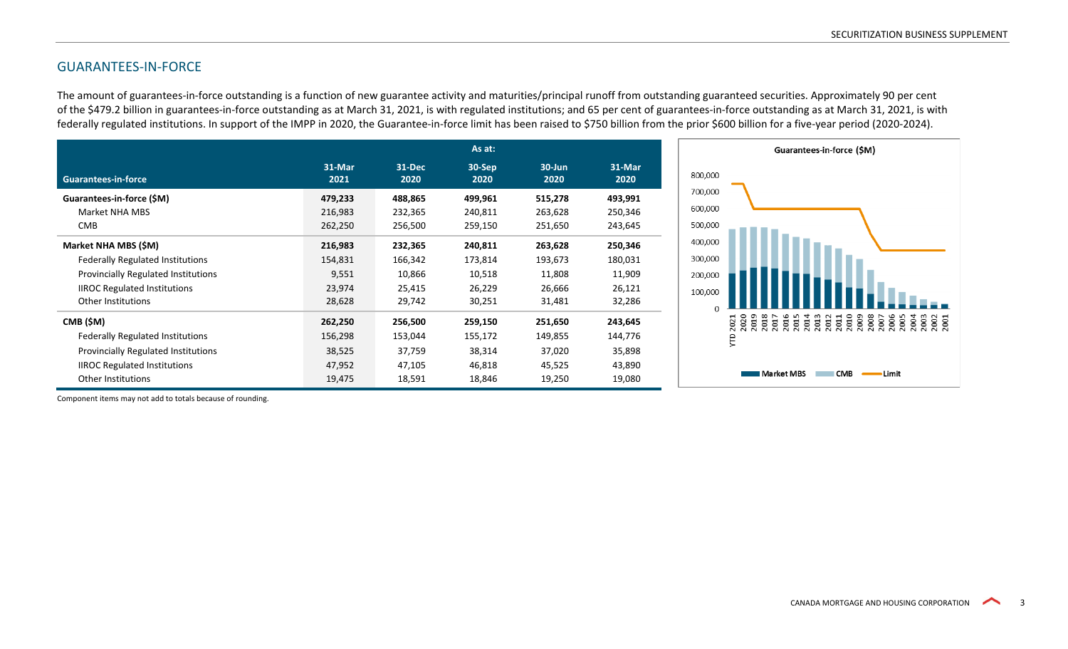## GUARANTEES-IN-FORCE

The amount of guarantees-in-force outstanding is a function of new guarantee activity and maturities/principal runoff from outstanding guaranteed securities. Approximately 90 per cent of the \$479.2 billion in guarantees-in-force outstanding as at March 31, 2021, is with regulated institutions; and 65 per cent of guarantees-in-force outstanding as at March 31, 2021, is with federally regulated institutions. In support of the IMPP in 2020, the Guarantee-in-force limit has been raised to \$750 billion from the prior \$600 billion for a five-year period (2020-2024).

|                                         |                |                | As at:         |                    |                |
|-----------------------------------------|----------------|----------------|----------------|--------------------|----------------|
| <b>Guarantees-in-force</b>              | 31-Mar<br>2021 | 31-Dec<br>2020 | 30-Sep<br>2020 | $30 - Jun$<br>2020 | 31-Mar<br>2020 |
| Guarantees-in-force (SM)                | 479,233        | 488,865        | 499,961        | 515,278            | 493,991        |
| Market NHA MBS                          | 216,983        | 232,365        | 240,811        | 263,628            | 250,346        |
| <b>CMB</b>                              | 262,250        | 256,500        | 259,150        | 251,650            | 243,645        |
| Market NHA MBS (\$M)                    | 216,983        | 232,365        | 240,811        | 263,628            | 250,346        |
| <b>Federally Regulated Institutions</b> | 154,831        | 166,342        | 173,814        | 193,673            | 180,031        |
| Provincially Regulated Institutions     | 9,551          | 10,866         | 10,518         | 11,808             | 11,909         |
| <b>IIROC Regulated Institutions</b>     | 23,974         | 25,415         | 26,229         | 26,666             | 26,121         |
| <b>Other Institutions</b>               | 28,628         | 29,742         | 30,251         | 31,481             | 32,286         |
| CMB (\$M)                               | 262,250        | 256,500        | 259,150        | 251,650            | 243,645        |
| <b>Federally Regulated Institutions</b> | 156,298        | 153,044        | 155,172        | 149,855            | 144,776        |
| Provincially Regulated Institutions     | 38,525         | 37,759         | 38,314         | 37,020             | 35,898         |
| <b>IIROC Regulated Institutions</b>     | 47,952         | 47,105         | 46,818         | 45,525             | 43,890         |
| Other Institutions                      | 19,475         | 18,591         | 18,846         | 19,250             | 19,080         |

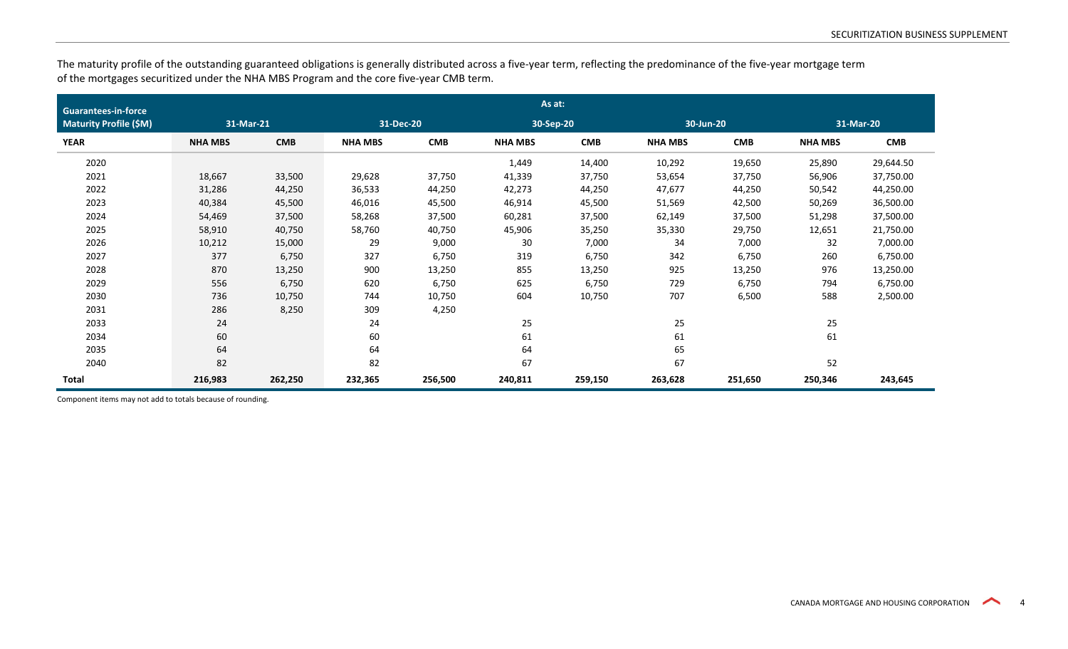The maturity profile of the outstanding guaranteed obligations is generally distributed across a five-year term, reflecting the predominance of the five-year mortgage term of the mortgages securitized under the NHA MBS Program and the core five-year CMB term.

| <b>Guarantees-in-force</b>    | As at:         |            |                |            |                |            |                |            |                |            |  |  |
|-------------------------------|----------------|------------|----------------|------------|----------------|------------|----------------|------------|----------------|------------|--|--|
| <b>Maturity Profile (\$M)</b> | 31-Mar-21      |            | 31-Dec-20      |            | 30-Sep-20      |            | 30-Jun-20      |            |                | 31-Mar-20  |  |  |
| <b>YEAR</b>                   | <b>NHA MBS</b> | <b>CMB</b> | <b>NHA MBS</b> | <b>CMB</b> | <b>NHA MBS</b> | <b>CMB</b> | <b>NHA MBS</b> | <b>CMB</b> | <b>NHA MBS</b> | <b>CMB</b> |  |  |
| 2020                          |                |            |                |            | 1,449          | 14,400     | 10,292         | 19,650     | 25,890         | 29,644.50  |  |  |
| 2021                          | 18,667         | 33,500     | 29,628         | 37,750     | 41,339         | 37,750     | 53,654         | 37,750     | 56,906         | 37,750.00  |  |  |
| 2022                          | 31,286         | 44,250     | 36,533         | 44,250     | 42,273         | 44,250     | 47,677         | 44,250     | 50,542         | 44,250.00  |  |  |
| 2023                          | 40,384         | 45,500     | 46,016         | 45,500     | 46,914         | 45,500     | 51,569         | 42,500     | 50,269         | 36,500.00  |  |  |
| 2024                          | 54,469         | 37,500     | 58,268         | 37,500     | 60,281         | 37,500     | 62,149         | 37,500     | 51,298         | 37,500.00  |  |  |
| 2025                          | 58,910         | 40,750     | 58,760         | 40,750     | 45,906         | 35,250     | 35,330         | 29,750     | 12,651         | 21,750.00  |  |  |
| 2026                          | 10,212         | 15,000     | 29             | 9,000      | 30             | 7,000      | 34             | 7,000      | 32             | 7,000.00   |  |  |
| 2027                          | 377            | 6,750      | 327            | 6,750      | 319            | 6,750      | 342            | 6,750      | 260            | 6,750.00   |  |  |
| 2028                          | 870            | 13,250     | 900            | 13,250     | 855            | 13,250     | 925            | 13,250     | 976            | 13,250.00  |  |  |
| 2029                          | 556            | 6,750      | 620            | 6,750      | 625            | 6,750      | 729            | 6,750      | 794            | 6,750.00   |  |  |
| 2030                          | 736            | 10,750     | 744            | 10,750     | 604            | 10,750     | 707            | 6,500      | 588            | 2,500.00   |  |  |
| 2031                          | 286            | 8,250      | 309            | 4,250      |                |            |                |            |                |            |  |  |
| 2033                          | 24             |            | 24             |            | 25             |            | 25             |            | 25             |            |  |  |
| 2034                          | 60             |            | 60             |            | 61             |            | 61             |            | 61             |            |  |  |
| 2035                          | 64             |            | 64             |            | 64             |            | 65             |            |                |            |  |  |
| 2040                          | 82             |            | 82             |            | 67             |            | 67             |            | 52             |            |  |  |
| <b>Total</b>                  | 216,983        | 262,250    | 232,365        | 256,500    | 240,811        | 259,150    | 263,628        | 251,650    | 250,346        | 243,645    |  |  |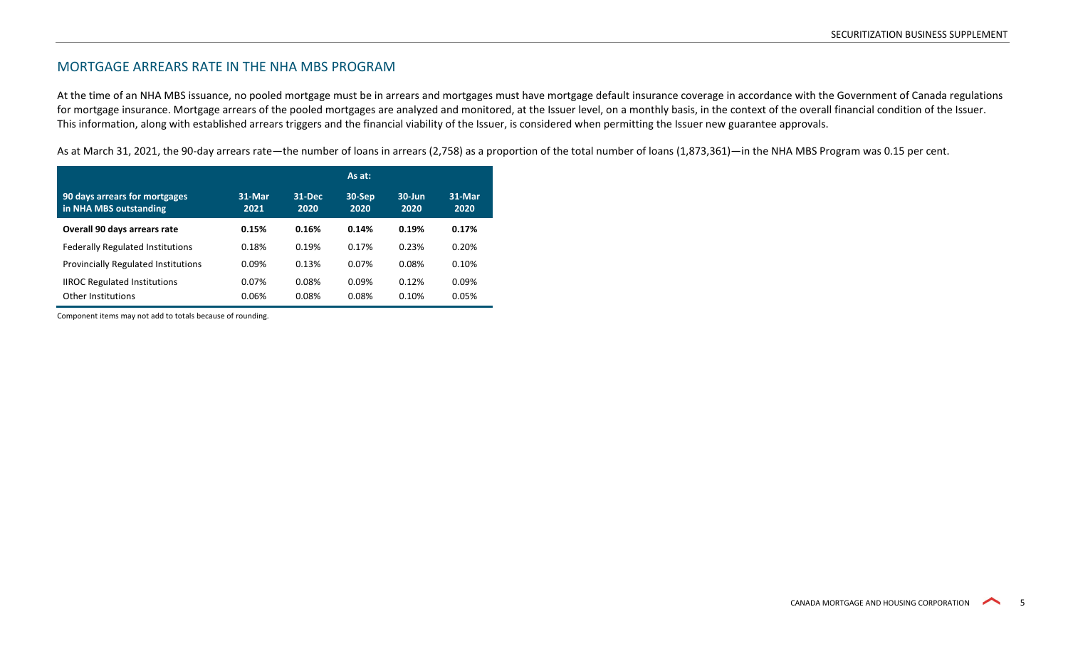## MORTGAGE ARREARS RATE IN THE NHA MBS PROGRAM

At the time of an NHA MBS issuance, no pooled mortgage must be in arrears and mortgages must have mortgage default insurance coverage in accordance with the Government of Canada regulations for mortgage insurance. Mortgage arrears of the pooled mortgages are analyzed and monitored, at the Issuer level, on a monthly basis, in the context of the overall financial condition of the Issuer. This information, along with established arrears triggers and the financial viability of the Issuer, is considered when permitting the Issuer new guarantee approvals.

As at March 31, 2021, the 90-day arrears rate—the number of loans in arrears (2,758) as a proportion of the total number of loans (1,873,361)—in the NHA MBS Program was 0.15 per cent.

|                                                         |                |                | As at:            |                    |                |
|---------------------------------------------------------|----------------|----------------|-------------------|--------------------|----------------|
| 90 days arrears for mortgages<br>in NHA MBS outstanding | 31-Mar<br>2021 | 31-Dec<br>2020 | $30-$ Sep<br>2020 | $30 - Jun$<br>2020 | 31-Mar<br>2020 |
| Overall 90 days arrears rate                            | 0.15%          | 0.16%          | 0.14%             | 0.19%              | 0.17%          |
| <b>Federally Regulated Institutions</b>                 | 0.18%          | 0.19%          | 0.17%             | 0.23%              | 0.20%          |
| Provincially Regulated Institutions                     | 0.09%          | 0.13%          | 0.07%             | 0.08%              | 0.10%          |
| <b>IIROC Regulated Institutions</b>                     | 0.07%          | 0.08%          | 0.09%             | 0.12%              | 0.09%          |
| Other Institutions                                      | 0.06%          | 0.08%          | 0.08%             | 0.10%              | 0.05%          |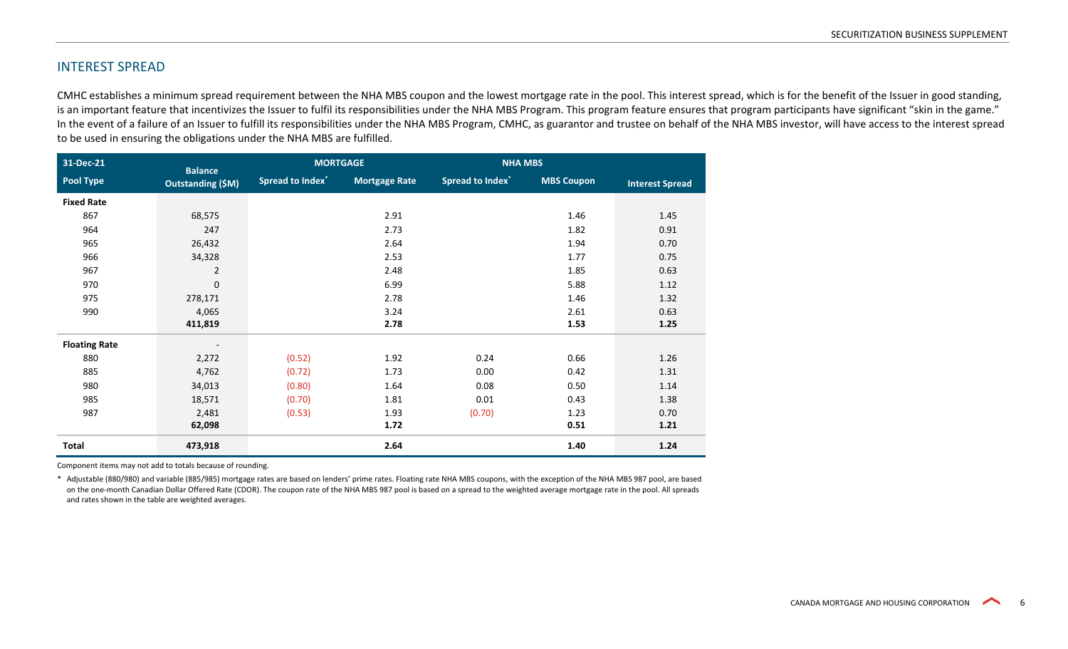### INTEREST SPREAD

CMHC establishes a minimum spread requirement between the NHA MBS coupon and the lowest mortgage rate in the pool. This interest spread, which is for the benefit of the Issuer in good standing, is an important feature that incentivizes the Issuer to fulfil its responsibilities under the NHA MBS Program. This program feature ensures that program participants have significant "skin in the game." In the event of a failure of an Issuer to fulfill its responsibilities under the NHA MBS Program, CMHC, as guarantor and trustee on behalf of the NHA MBS investor, will have access to the interest spread to be used in ensuring the obligations under the NHA MBS are fulfilled.

| 31-Dec-21            | <b>Balance</b>           |                              | <b>MORTGAGE</b>      |                                    | <b>NHA MBS</b>    |                        |  |  |
|----------------------|--------------------------|------------------------------|----------------------|------------------------------------|-------------------|------------------------|--|--|
| Pool Type            | <b>Outstanding (\$M)</b> | Spread to Index <sup>*</sup> | <b>Mortgage Rate</b> | <b>Spread to Index<sup>*</sup></b> | <b>MBS Coupon</b> | <b>Interest Spread</b> |  |  |
| <b>Fixed Rate</b>    |                          |                              |                      |                                    |                   |                        |  |  |
| 867                  | 68,575                   |                              | 2.91                 |                                    | 1.46              | 1.45                   |  |  |
| 964                  | 247                      |                              | 2.73                 |                                    | 1.82              | 0.91                   |  |  |
| 965                  | 26,432                   |                              | 2.64                 |                                    | 1.94              | 0.70                   |  |  |
| 966                  | 34,328                   |                              | 2.53                 |                                    | 1.77              | 0.75                   |  |  |
| 967                  | $\overline{2}$           |                              | 2.48                 |                                    | 1.85              | 0.63                   |  |  |
| 970                  | $\pmb{0}$                |                              | 6.99                 |                                    | 5.88              | 1.12                   |  |  |
| 975                  | 278,171                  |                              | 2.78                 |                                    | 1.46              | 1.32                   |  |  |
| 990                  | 4,065                    |                              | 3.24                 |                                    | 2.61              | 0.63                   |  |  |
|                      | 411,819                  |                              | 2.78                 |                                    | 1.53              | 1.25                   |  |  |
| <b>Floating Rate</b> | $\overline{\phantom{a}}$ |                              |                      |                                    |                   |                        |  |  |
| 880                  | 2,272                    | (0.52)                       | 1.92                 | 0.24                               | 0.66              | 1.26                   |  |  |
| 885                  | 4,762                    | (0.72)                       | 1.73                 | 0.00                               | 0.42              | 1.31                   |  |  |
| 980                  | 34,013                   | (0.80)                       | 1.64                 | 0.08                               | 0.50              | 1.14                   |  |  |
| 985                  | 18,571                   | (0.70)                       | 1.81                 | 0.01                               | 0.43              | 1.38                   |  |  |
| 987                  | 2,481                    | (0.53)                       | 1.93                 | (0.70)                             | 1.23              | 0.70                   |  |  |
|                      | 62,098                   |                              | 1.72                 |                                    | 0.51              | 1.21                   |  |  |
| Total                | 473,918                  |                              | 2.64                 |                                    | 1.40              | 1.24                   |  |  |

Component items may not add to totals because of rounding.

\* Adjustable (880/980) and variable (885/985) mortgage rates are based on lenders' prime rates. Floating rate NHA MBS coupons, with the exception of the NHA MBS 987 pool, are based on the one-month Canadian Dollar Offered Rate (CDOR). The coupon rate of the NHA MBS 987 pool is based on a spread to the weighted average mortgage rate in the pool. All spreads and rates shown in the table are weighted averages.